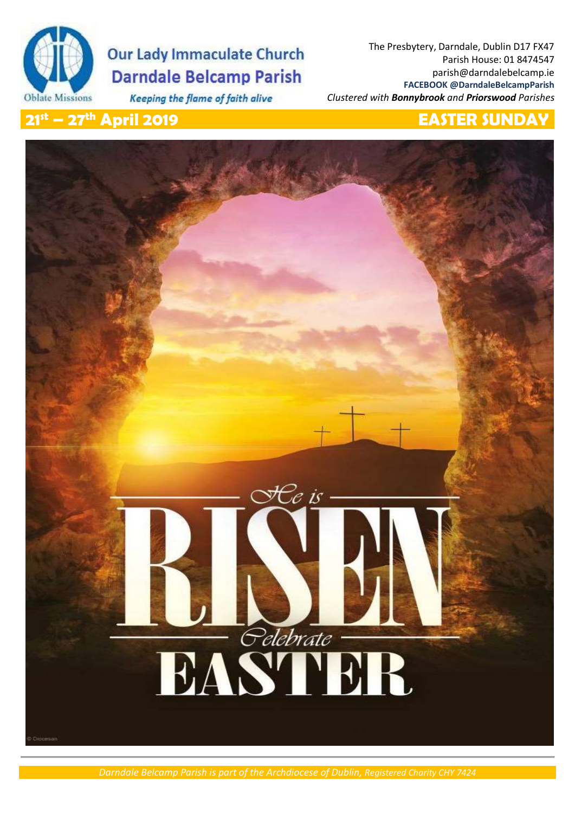

# **Our Lady Immaculate Church Darndale Belcamp Parish**

Keeping the flame of faith alive

The Presbytery, Darndale, Dublin D17 FX47 Parish House: 01 8474547 parish@darndalebelcamp.ie **FACEBOOK @DarndaleBelcampParish** *Clustered with Bonnybrook and Priorswood Parishes*

## **21st – 27th April 2019 EASTER SUNDAY**



# Ce is **Edebrate**